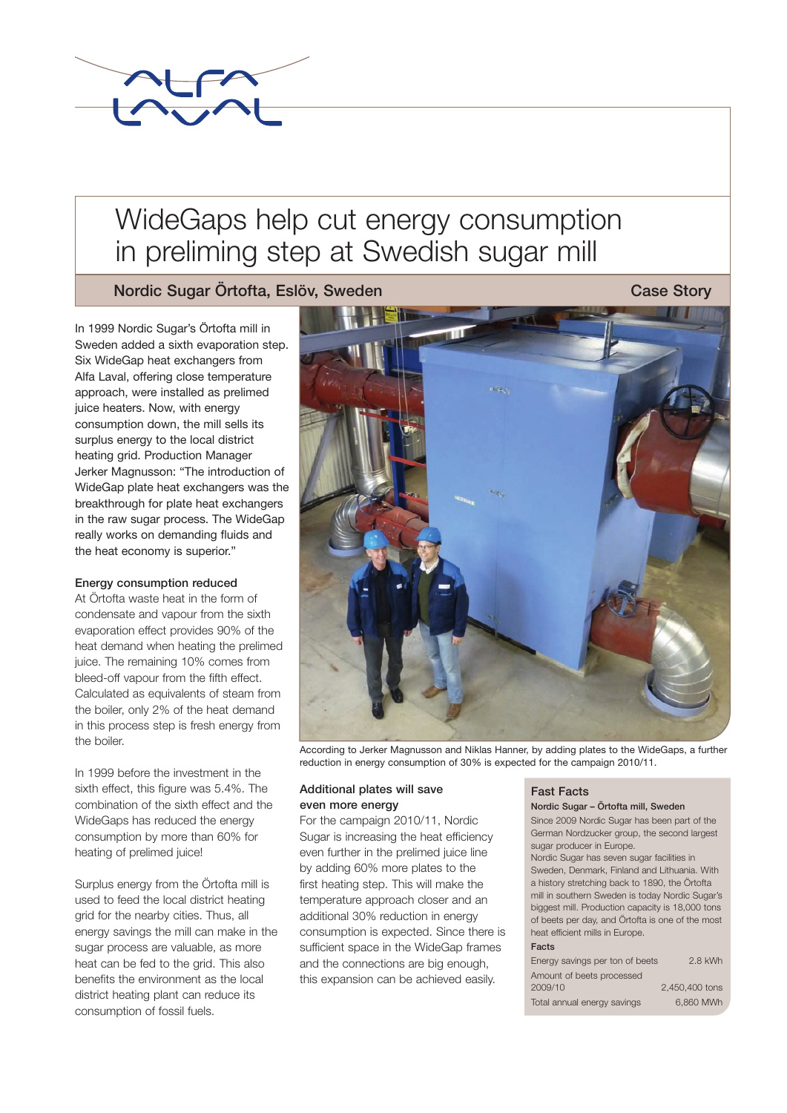

# WideGaps help cut energy consumption in preliming step at Swedish sugar mill

Nordic Sugar Örtofta, Eslöv, Sweden Case Story Case Story

In 1999 Nordic Sugar's Örtofta mill in Sweden added a sixth evaporation step. Six WideGap heat exchangers from Alfa Laval, offering close temperature approach, were installed as prelimed juice heaters. Now, with energy consumption down, the mill sells its surplus energy to the local district heating grid. Production Manager Jerker Magnusson: "The introduction of WideGap plate heat exchangers was the breakthrough for plate heat exchangers in the raw sugar process. The WideGap really works on demanding fluids and the heat economy is superior."

# Energy consumption reduced

At Örtofta waste heat in the form of condensate and vapour from the sixth evaporation effect provides 90% of the heat demand when heating the prelimed juice. The remaining 10% comes from bleed-off vapour from the fifth effect. Calculated as equivalents of steam from the boiler, only 2% of the heat demand in this process step is fresh energy from the boiler.

In 1999 before the investment in the sixth effect, this figure was 5.4%. The combination of the sixth effect and the WideGaps has reduced the energy consumption by more than 60% for heating of prelimed juice!

Surplus energy from the Örtofta mill is used to feed the local district heating grid for the nearby cities. Thus, all energy savings the mill can make in the sugar process are valuable, as more heat can be fed to the grid. This also benefits the environment as the local district heating plant can reduce its consumption of fossil fuels.



According to Jerker Magnusson and Niklas Hanner, by adding plates to the WideGaps, a further reduction in energy consumption of 30% is expected for the campaign 2010/11.

# Additional plates will save even more energy

For the campaign 2010/11, Nordic Sugar is increasing the heat efficiency even further in the prelimed juice line by adding 60% more plates to the first heating step. This will make the temperature approach closer and an additional 30% reduction in energy consumption is expected. Since there is sufficient space in the WideGap frames and the connections are big enough, this expansion can be achieved easily.

#### Fast Facts

#### Nordic Sugar – Örtofta mill, Sweden

Since 2009 Nordic Sugar has been part of the German Nordzucker group, the second largest sugar producer in Europe.

Nordic Sugar has seven sugar facilities in Sweden, Denmark, Finland and Lithuania. With a history stretching back to 1890, the Örtofta mill in southern Sweden is today Nordic Sugar's biggest mill. Production capacity is 18,000 tons of beets per day, and Örtofta is one of the most heat efficient mills in Europe.

#### Facts

| Energy savings per ton of beets | 2.8 kWh        |
|---------------------------------|----------------|
| Amount of beets processed       |                |
| 2009/10                         | 2,450,400 tons |
| Total annual energy savings     | 6.860 MWh      |